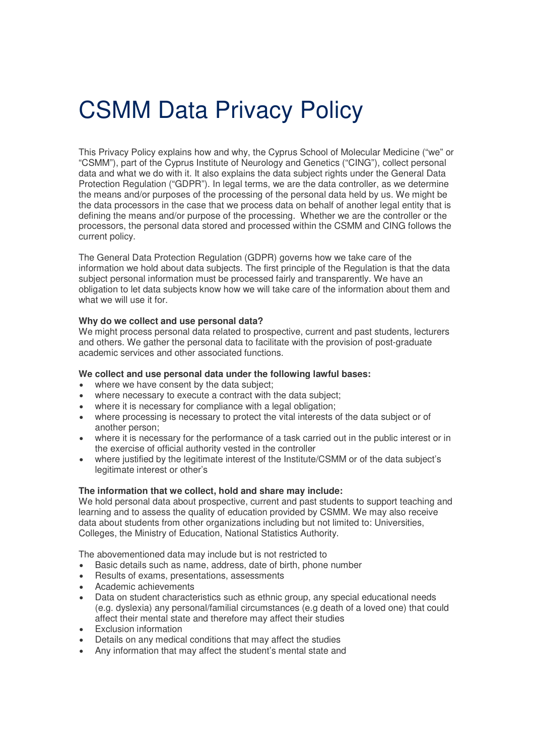# CSMM Data Privacy Policy

This Privacy Policy explains how and why, the Cyprus School of Molecular Medicine ("we" or "CSMM"), part of the Cyprus Institute of Neurology and Genetics ("CING"), collect personal data and what we do with it. It also explains the data subject rights under the General Data Protection Regulation ("GDPR"). In legal terms, we are the data controller, as we determine the means and/or purposes of the processing of the personal data held by us. We might be the data processors in the case that we process data on behalf of another legal entity that is defining the means and/or purpose of the processing. Whether we are the controller or the processors, the personal data stored and processed within the CSMM and CING follows the current policy.

The General Data Protection Regulation (GDPR) governs how we take care of the information we hold about data subjects. The first principle of the Regulation is that the data subject personal information must be processed fairly and transparently. We have an obligation to let data subjects know how we will take care of the information about them and what we will use it for.

# **Why do we collect and use personal data?**

We might process personal data related to prospective, current and past students, lecturers and others. We gather the personal data to facilitate with the provision of post-graduate academic services and other associated functions.

## **We collect and use personal data under the following lawful bases:**

- where we have consent by the data subject;
- where necessary to execute a contract with the data subject;
- where it is necessary for compliance with a legal obligation;
- where processing is necessary to protect the vital interests of the data subject or of another person;
- where it is necessary for the performance of a task carried out in the public interest or in the exercise of official authority vested in the controller
- where justified by the legitimate interest of the Institute/CSMM or of the data subject's legitimate interest or other's

#### **The information that we collect, hold and share may include:**

We hold personal data about prospective, current and past students to support teaching and learning and to assess the quality of education provided by CSMM. We may also receive data about students from other organizations including but not limited to: Universities, Colleges, the Ministry of Education, National Statistics Authority.

The abovementioned data may include but is not restricted to

- Basic details such as name, address, date of birth, phone number
- Results of exams, presentations, assessments
- Academic achievements
- Data on student characteristics such as ethnic group, any special educational needs (e.g. dyslexia) any personal/familial circumstances (e.g death of a loved one) that could affect their mental state and therefore may affect their studies
- Exclusion information
- Details on any medical conditions that may affect the studies
- Any information that may affect the student's mental state and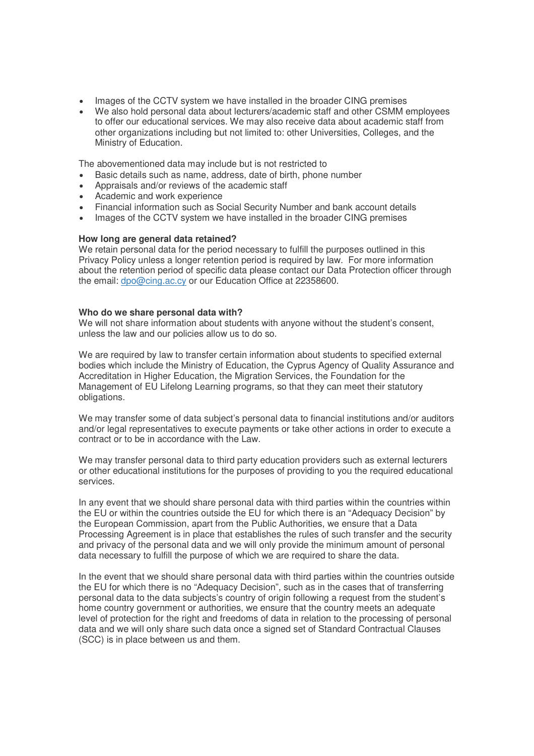- Images of the CCTV system we have installed in the broader CING premises
- We also hold personal data about lecturers/academic staff and other CSMM employees to offer our educational services. We may also receive data about academic staff from other organizations including but not limited to: other Universities, Colleges, and the Ministry of Education.

The abovementioned data may include but is not restricted to

- Basic details such as name, address, date of birth, phone number
- Appraisals and/or reviews of the academic staff
- Academic and work experience
- Financial information such as Social Security Number and bank account details
- Images of the CCTV system we have installed in the broader CING premises

## **How long are general data retained?**

We retain personal data for the period necessary to fulfill the purposes outlined in this Privacy Policy unless a longer retention period is required by law. For more information about the retention period of specific data please contact our Data Protection officer through the email: dpo@cing.ac.cy or our Education Office at 22358600.

#### **Who do we share personal data with?**

We will not share information about students with anyone without the student's consent, unless the law and our policies allow us to do so.

We are required by law to transfer certain information about students to specified external bodies which include the Ministry of Education, the Cyprus Agency of Quality Assurance and Accreditation in Higher Education, the Migration Services, the Foundation for the Management of EU Lifelong Learning programs, so that they can meet their statutory obligations.

We may transfer some of data subject's personal data to financial institutions and/or auditors and/or legal representatives to execute payments or take other actions in order to execute a contract or to be in accordance with the Law.

We may transfer personal data to third party education providers such as external lecturers or other educational institutions for the purposes of providing to you the required educational services.

In any event that we should share personal data with third parties within the countries within the EU or within the countries outside the EU for which there is an "Adequacy Decision" by the European Commission, apart from the Public Authorities, we ensure that a Data Processing Agreement is in place that establishes the rules of such transfer and the security and privacy of the personal data and we will only provide the minimum amount of personal data necessary to fulfill the purpose of which we are required to share the data.

In the event that we should share personal data with third parties within the countries outside the EU for which there is no "Adequacy Decision", such as in the cases that of transferring personal data to the data subjects's country of origin following a request from the student's home country government or authorities, we ensure that the country meets an adequate level of protection for the right and freedoms of data in relation to the processing of personal data and we will only share such data once a signed set of Standard Contractual Clauses (SCC) is in place between us and them.